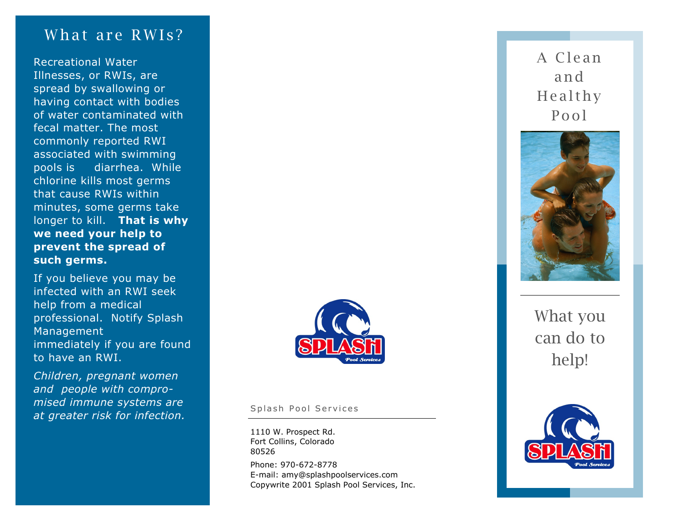## What are RWIs?

Recreational Water Illnesses, or RWIs, are spread by swallowing or having contact with bodies of water contaminated with fecal matter. The most commonly reported RWI associated with swimming pools is diarrhea. While chlorine kills most germs that cause RWIs within minutes, some germs take longer to kill. **That is why we need your help to prevent the spread of such germs.** 

If you believe you may be infected with an RWI seek help from a medical professional. Notify Splash Management immediately if you are found to have an RWI.

*Children, pregnant women and people with compromised immune systems are at greater risk for infection.* 



Splash Pool Services

Phone: 970 -672 -8778 E -mail: amy@splashpoolservices.com Copywrite 2001 Splash Pool Services, Inc. 1110 W. Prospect Rd. Fort Collins, Colorado 80526

A Cle an an d **Healthy** Pool



What you can do to help!